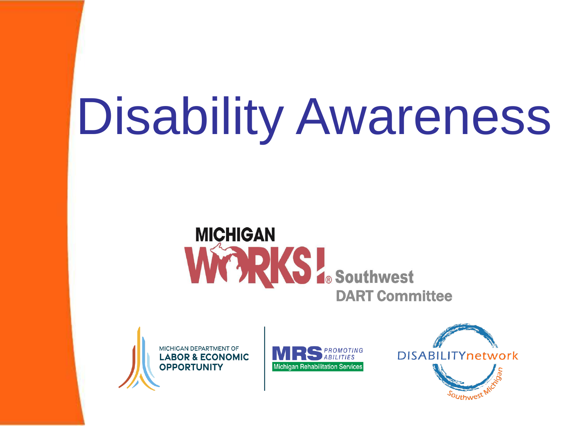# Disability Awareness

# **MICHIGAN** WARKS To Southwest





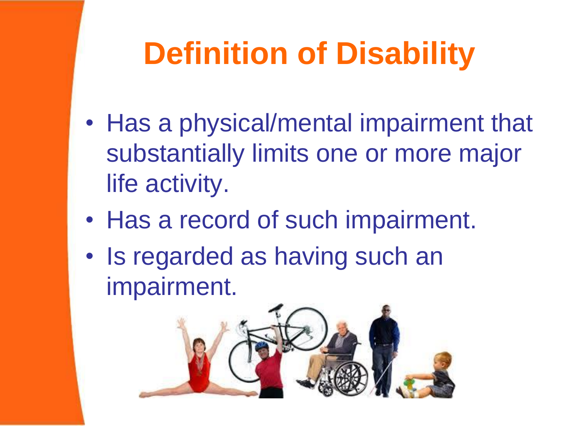# **Definition of Disability**

- Has a physical/mental impairment that substantially limits one or more major life activity.
- Has a record of such impairment.
- Is regarded as having such an impairment.

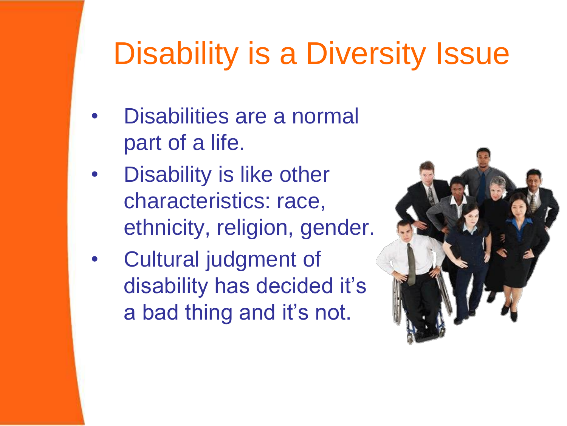## Disability is a Diversity Issue

- Disabilities are a normal part of a life.
- Disability is like other characteristics: race, ethnicity, religion, gender.
- Cultural judgment of disability has decided it's a bad thing and it's not.

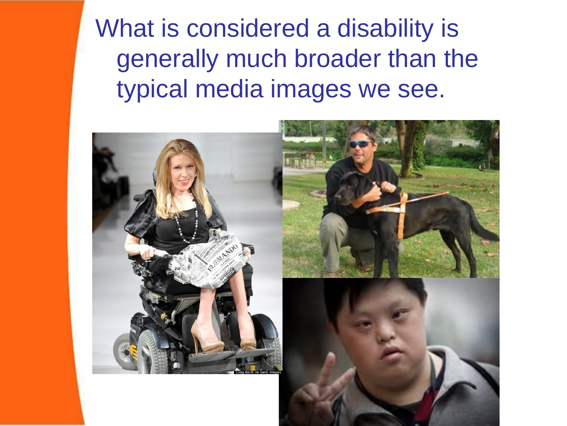What is considered a disability is generally much broader than the typical media images we see.

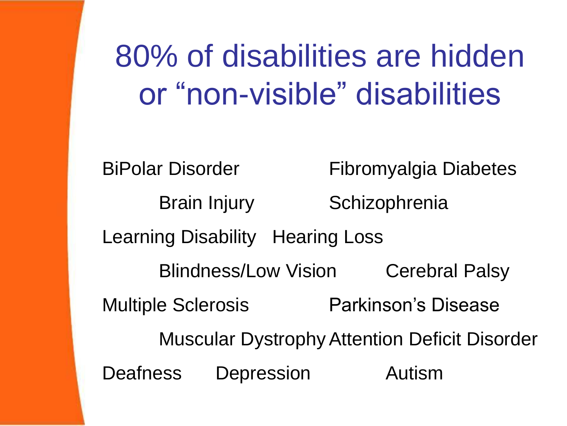80% of disabilities are hidden or "non-visible" disabilities

BiPolar Disorder Fibromyalgia Diabetes Brain Injury Schizophrenia Learning Disability Hearing Loss Blindness/Low Vision Cerebral Palsy Multiple Sclerosis Parkinson's Disease Muscular DystrophyAttention Deficit Disorder Deafness Depression Autism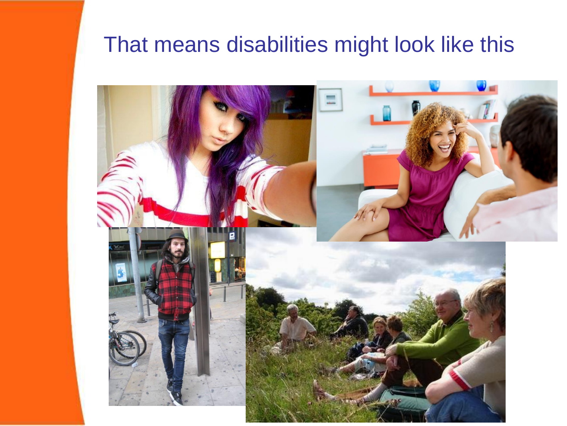#### That means disabilities might look like this

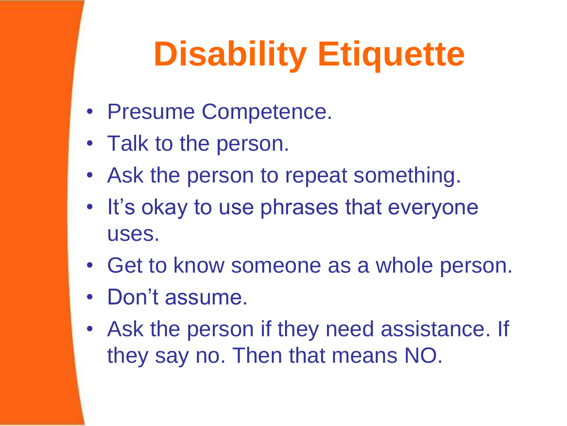# **Disability Etiquette**

- Presume Competence.
- Talk to the person.
- Ask the person to repeat something.
- It's okay to use phrases that everyone uses.
- Get to know someone as a whole person.
- Don't assume.
- Ask the person if they need assistance. If they say no. Then that means NO.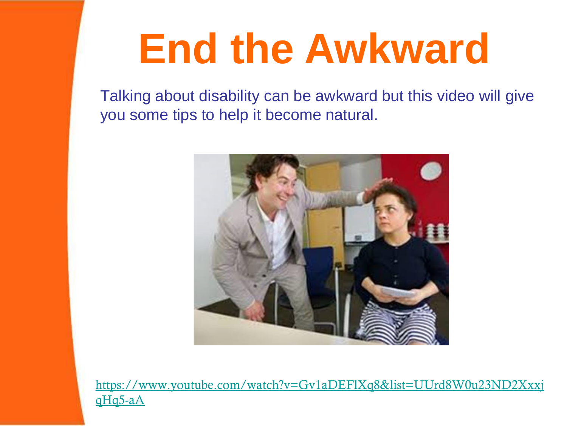# **End the Awkward**

Talking about disability can be awkward but this video will give you some tips to help it become natural.



[https://www.youtube.com/watch?v=Gv1aDEFlXq8&list=UUrd8W0u23ND2Xxxj](https://www.youtube.com/watch?v=Gv1aDEFlXq8&list=UUrd8W0u23ND2XxxjqHq5-aA) qHq5-aA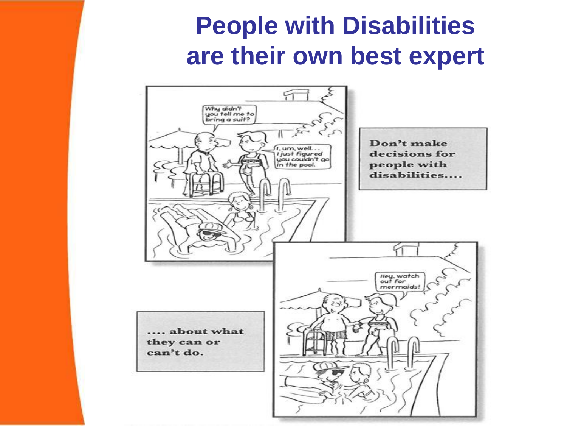#### **People with Disabilities are their own best expert**

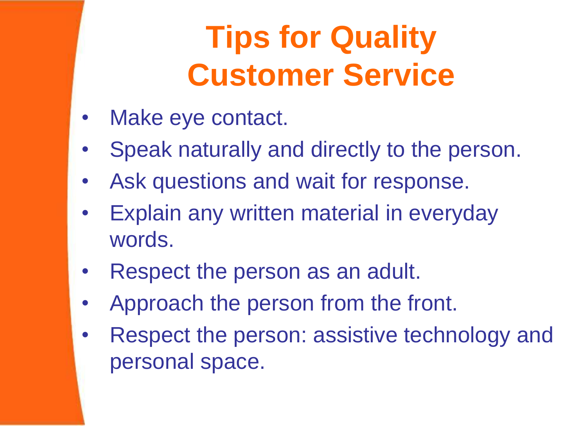# **Tips for Quality Customer Service**

- Make eye contact.
- Speak naturally and directly to the person.
- Ask questions and wait for response.
- **Explain any written material in everyday** words.
- Respect the person as an adult.
- Approach the person from the front.
- Respect the person: assistive technology and personal space.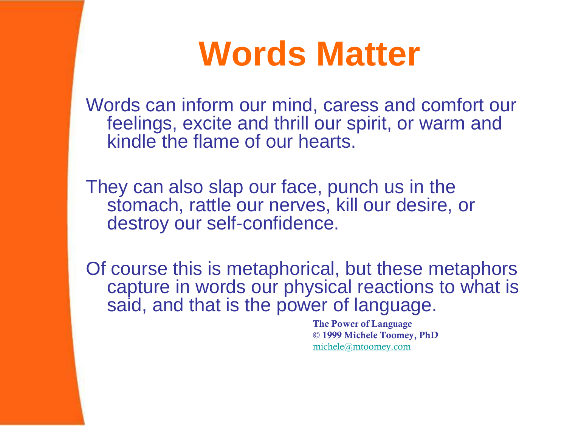# **Words Matter**

Words can inform our mind, caress and comfort our feelings, excite and thrill our spirit, or warm and kindle the flame of our hearts.

They can also slap our face, punch us in the stomach, rattle our nerves, kill our desire, or destroy our self-confidence.

Of course this is metaphorical, but these metaphors capture in words our physical reactions to what is said, and that is the power of language.

> The Power of Language © 1999 Michele Toomey, PhD [michele@mtoomey.com](mailto:michele@mtoomey.com)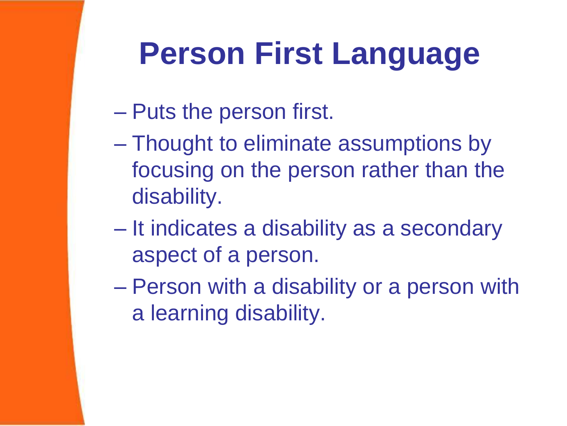# **Person First Language**

- Puts the person first.
- Thought to eliminate assumptions by focusing on the person rather than the disability.
- It indicates a disability as a secondary aspect of a person.
- Person with a disability or a person with a learning disability.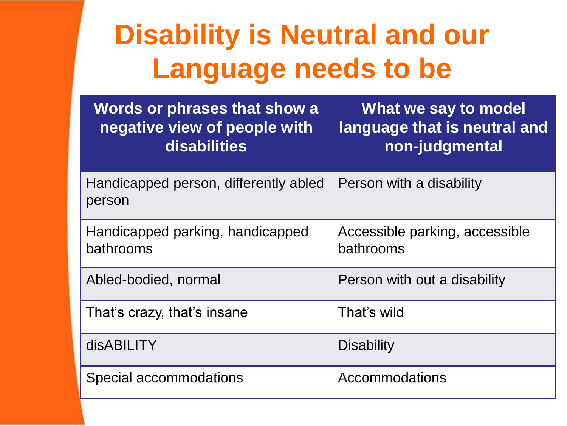## **Disability is Neutral and our Language needs to be**

| Words or phrases that show a<br>negative view of people with<br>disabilities | What we say to model<br>language that is neutral and<br>non-judgmental |
|------------------------------------------------------------------------------|------------------------------------------------------------------------|
| Handicapped person, differently abled<br>person                              | Person with a disability                                               |
| Handicapped parking, handicapped<br>bathrooms                                | Accessible parking, accessible<br>bathrooms                            |
| Abled-bodied, normal                                                         | Person with out a disability                                           |
| That's crazy, that's insane                                                  | That's wild                                                            |
| disABILITY                                                                   | <b>Disability</b>                                                      |
| Special accommodations                                                       | Accommodations                                                         |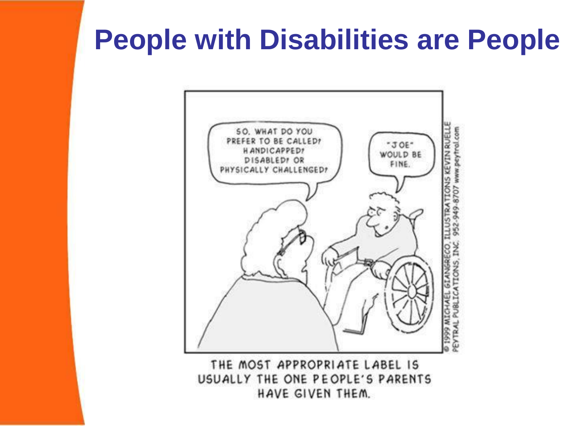### **People with Disabilities are People**



THE MOST APPROPRIATE LABEL IS USUALLY THE ONE PEOPLE'S PARENTS HAVE GIVEN THEM.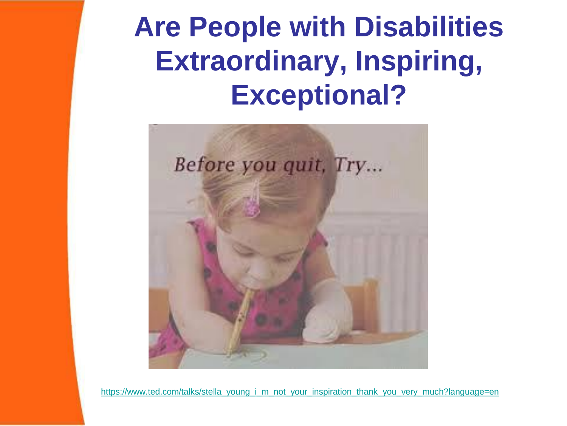### **Are People with Disabilities Extraordinary, Inspiring, Exceptional?**



[https://www.ted.com/talks/stella\\_young\\_i\\_m\\_not\\_your\\_inspiration\\_thank\\_you\\_very\\_much?language=en](https://www.ted.com/talks/stella_young_i_m_not_your_inspiration_thank_you_very_much?language=en)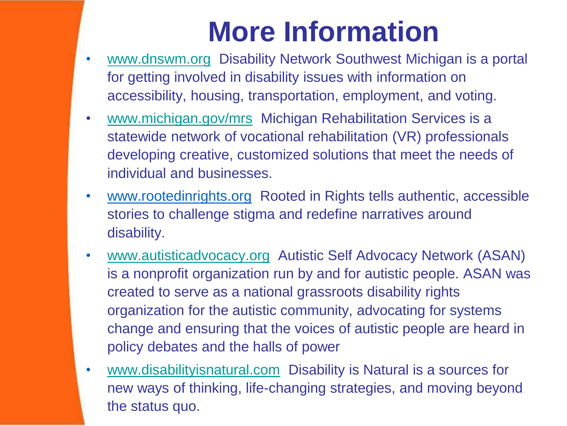### **More Information**

- [www.dnswm.org](http://www.dnswm.org/) Disability Network Southwest Michigan is a portal for getting involved in disability issues with information on accessibility, housing, transportation, employment, and voting.
- [www.michigan.gov/mrs](http://www.michigan.gov/mrs) Michigan Rehabilitation Services is a statewide network of vocational rehabilitation (VR) professionals developing creative, customized solutions that meet the needs of individual and businesses.
- www.rootedinrights.org Rooted in Rights tells authentic, accessible stories to challenge stigma and redefine narratives around disability.
- [www.autisticadvocacy.org](http://www.autisticadvocacy.org/) Autistic Self Advocacy Network (ASAN) is a nonprofit organization run by and for autistic people. ASAN was created to serve as a national grassroots disability rights organization for the autistic community, advocating for systems change and ensuring that the voices of autistic people are heard in policy debates and the halls of power
- [www.disabilityisnatural.com](http://www.disabilityisnatural.com/) Disability is Natural is a sources for new ways of thinking, life-changing strategies, and moving beyond the status quo.